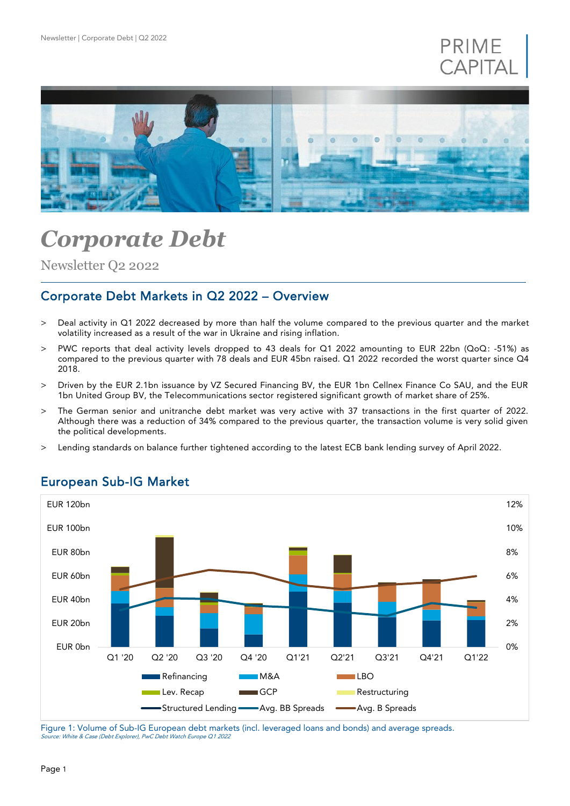



# *Corporate Debt*

Newsletter Q2 2022

# Corporate Debt Markets in Q2 2022 – Overview

- > Deal activity in Q1 2022 decreased by more than half the volume compared to the previous quarter and the market volatility increased as a result of the war in Ukraine and rising inflation.
- > PWC reports that deal activity levels dropped to 43 deals for Q1 2022 amounting to EUR 22bn (QoQ: -51%) as compared to the previous quarter with 78 deals and EUR 45bn raised. Q1 2022 recorded the worst quarter since Q4 2018.
- > Driven by the EUR 2.1bn issuance by VZ Secured Financing BV, the EUR 1bn Cellnex Finance Co SAU, and the EUR 1bn United Group BV, the Telecommunications sector registered significant growth of market share of 25%.
- > The German senior and unitranche debt market was very active with 37 transactions in the first quarter of 2022. Although there was a reduction of 34% compared to the previous quarter, the transaction volume is very solid given the political developments.
- > Lending standards on balance further tightened according to the latest ECB bank lending survey of April 2022.



## European Sub-IG Market

Figure 1: Volume of Sub-IG European debt markets (incl. leveraged loans and bonds) and average spreads. Source: White & Case (Debt Explorer), PwC Debt Watch Europe Q1 2022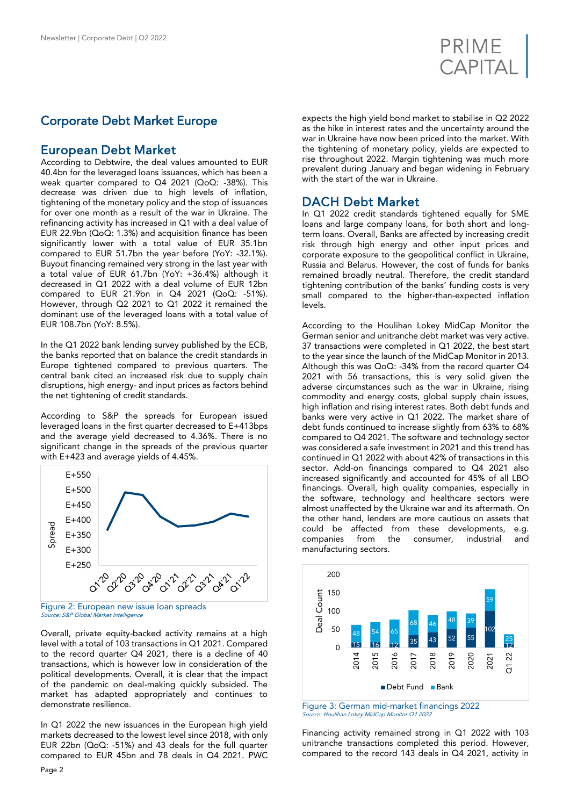

# Corporate Debt Market Europe

### European Debt Market

According to Debtwire, the deal values amounted to EUR 40.4bn for the leveraged loans issuances, which has been a weak quarter compared to Q4 2021 (QoQ: -38%). This decrease was driven due to high levels of inflation, tightening of the monetary policy and the stop of issuances for over one month as a result of the war in Ukraine. The refinancing activity has increased in Q1 with a deal value of EUR 22.9bn (QoQ: 1.3%) and acquisition finance has been significantly lower with a total value of EUR 35.1bn compared to EUR 51.7bn the year before (YoY: -32.1%). Buyout financing remained very strong in the last year with a total value of EUR 61.7bn (YoY: +36.4%) although it decreased in Q1 2022 with a deal volume of EUR 12bn compared to EUR 21.9bn in Q4 2021 (QoQ: -51%). However, through Q2 2021 to Q1 2022 it remained the dominant use of the leveraged loans with a total value of EUR 108.7bn (YoY: 8.5%).

In the Q1 2022 bank lending survey published by the ECB, the banks reported that on balance the credit standards in Europe tightened compared to previous quarters. The central bank cited an increased risk due to supply chain disruptions, high energy- and input prices as factors behind the net tightening of credit standards.

According to S&P the spreads for European issued leveraged loans in the first quarter decreased to E+413bps and the average yield decreased to 4.36%. There is no significant change in the spreads of the previous quarter with E+423 and average yields of 4.45%.



Figure 2: European new issue loan spreads Source: S&P Global Market Intelligence

Overall, private equity-backed activity remains at a high level with a total of 103 transactions in Q1 2021. Compared to the record quarter Q4 2021, there is a decline of 40 transactions, which is however low in consideration of the political developments. Overall, it is clear that the impact of the pandemic on deal-making quickly subsided. The market has adapted appropriately and continues to demonstrate resilience.

In Q1 2022 the new issuances in the European high yield markets decreased to the lowest level since 2018, with only EUR 22bn (QoQ: -51%) and 43 deals for the full quarter compared to EUR 45bn and 78 deals in Q4 2021. PWC expects the high yield bond market to stabilise in Q2 2022 as the hike in interest rates and the uncertainty around the war in Ukraine have now been priced into the market. With the tightening of monetary policy, yields are expected to rise throughout 2022. Margin tightening was much more prevalent during January and began widening in February with the start of the war in Ukraine.

## DACH Debt Market

In Q1 2022 credit standards tightened equally for SME loans and large company loans, for both short and longterm loans. Overall, Banks are affected by increasing credit risk through high energy and other input prices and corporate exposure to the geopolitical conflict in Ukraine, Russia and Belarus. However, the cost of funds for banks remained broadly neutral. Therefore, the credit standard tightening contribution of the banks' funding costs is very small compared to the higher-than-expected inflation levels.

According to the Houlihan Lokey MidCap Monitor the German senior and unitranche debt market was very active. 37 transactions were completed in Q1 2022, the best start to the year since the launch of the MidCap Monitor in 2013. Although this was QoQ: -34% from the record quarter Q4 2021 with 56 transactions, this is very solid given the adverse circumstances such as the war in Ukraine, rising commodity and energy costs, global supply chain issues, high inflation and rising interest rates. Both debt funds and banks were very active in Q1 2022. The market share of debt funds continued to increase slightly from 63% to 68% compared to Q4 2021. The software and technology sector was considered a safe investment in 2021 and this trend has continued in Q1 2022 with about 42% of transactions in this sector. Add-on financings compared to Q4 2021 also increased significantly and accounted for 45% of all LBO financings. Overall, high quality companies, especially in the software, technology and healthcare sectors were almost unaffected by the Ukraine war and its aftermath. On the other hand, lenders are more cautious on assets that could be affected from these developments, e.g. companies from the consumer, industrial and manufacturing sectors.



Figure 3: German mid-market financings 2022 Source: Houlihan Lokey MidCap Monitor Q1 2022

Financing activity remained strong in Q1 2022 with 103 unitranche transactions completed this period. However, compared to the record 143 deals in Q4 2021, activity in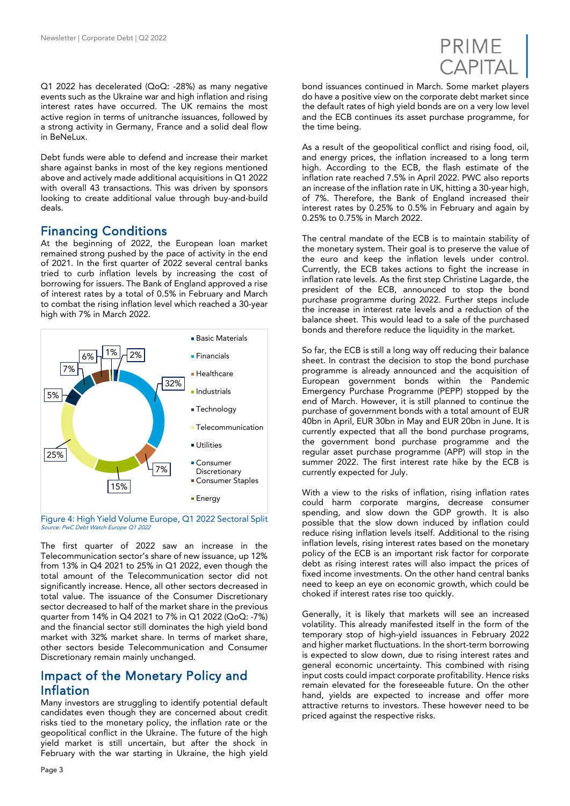

Q1 2022 has decelerated (QoQ: -28%) as many negative events such as the Ukraine war and high inflation and rising interest rates have occurred. The UK remains the most active region in terms of unitranche issuances, followed by a strong activity in Germany, France and a solid deal flow in BeNeLux.

Debt funds were able to defend and increase their market share against banks in most of the key regions mentioned above and actively made additional acquisitions in Q1 2022 with overall 43 transactions. This was driven by sponsors looking to create additional value through buy-and-build deals.

## Financing Conditions

At the beginning of 2022, the European loan market remained strong pushed by the pace of activity in the end of 2021. In the first quarter of 2022 several central banks tried to curb inflation levels by increasing the cost of borrowing for issuers. The Bank of England approved a rise of interest rates by a total of 0.5% in February and March to combat the rising inflation level which reached a 30-year high with 7% in March 2022.



Figure 4: High Yield Volume Europe, Q1 2022 Sectoral Split Source: PwC Debt Watch Europe Q1 2022

The first quarter of 2022 saw an increase in the Telecommunication sector's share of new issuance, up 12% from 13% in Q4 2021 to 25% in Q1 2022, even though the total amount of the Telecommunication sector did not significantly increase. Hence, all other sectors decreased in total value. The issuance of the Consumer Discretionary sector decreased to half of the market share in the previous quarter from 14% in Q4 2021 to 7% in Q1 2022 (QoQ: -7%) and the financial sector still dominates the high yield bond market with 32% market share. In terms of market share, other sectors beside Telecommunication and Consumer Discretionary remain mainly unchanged.

## Impact of the Monetary Policy and Inflation

Many investors are struggling to identify potential default candidates even though they are concerned about credit risks tied to the monetary policy, the inflation rate or the geopolitical conflict in the Ukraine. The future of the high yield market is still uncertain, but after the shock in February with the war starting in Ukraine, the high yield

As a result of the geopolitical conflict and rising food, oil, and energy prices, the inflation increased to a long term high. According to the ECB, the flash estimate of the inflation rate reached 7.5% in April 2022. PWC also reports an increase of the inflation rate in UK, hitting a 30-year high, of 7%. Therefore, the Bank of England increased their interest rates by 0.25% to 0.5% in February and again by 0.25% to 0.75% in March 2022.

The central mandate of the ECB is to maintain stability of the monetary system. Their goal is to preserve the value of the euro and keep the inflation levels under control. Currently, the ECB takes actions to fight the increase in inflation rate levels. As the first step Christine Lagarde, the president of the ECB, announced to stop the bond purchase programme during 2022. Further steps include the increase in interest rate levels and a reduction of the balance sheet. This would lead to a sale of the purchased bonds and therefore reduce the liquidity in the market.

So far, the ECB is still a long way off reducing their balance sheet. In contrast the decision to stop the bond purchase programme is already announced and the acquisition of European government bonds within the Pandemic Emergency Purchase Programme (PEPP) stopped by the end of March. However, it is still planned to continue the purchase of government bonds with a total amount of EUR 40bn in April, EUR 30bn in May and EUR 20bn in June. It is currently expected that all the bond purchase programs, the government bond purchase programme and the regular asset purchase programme (APP) will stop in the summer 2022. The first interest rate hike by the ECB is currently expected for July.

With a view to the risks of inflation, rising inflation rates could harm corporate margins, decrease consumer spending, and slow down the GDP growth. It is also possible that the slow down induced by inflation could reduce rising inflation levels itself. Additional to the rising inflation levels, rising interest rates based on the monetary policy of the ECB is an important risk factor for corporate debt as rising interest rates will also impact the prices of fixed income investments. On the other hand central banks need to keep an eye on economic growth, which could be choked if interest rates rise too quickly.

Generally, it is likely that markets will see an increased volatility. This already manifested itself in the form of the temporary stop of high-yield issuances in February 2022 and higher market fluctuations. In the short-term borrowing is expected to slow down, due to rising interest rates and general economic uncertainty. This combined with rising input costs could impact corporate profitability. Hence risks remain elevated for the foreseeable future. On the other hand, yields are expected to increase and offer more attractive returns to investors. These however need to be priced against the respective risks.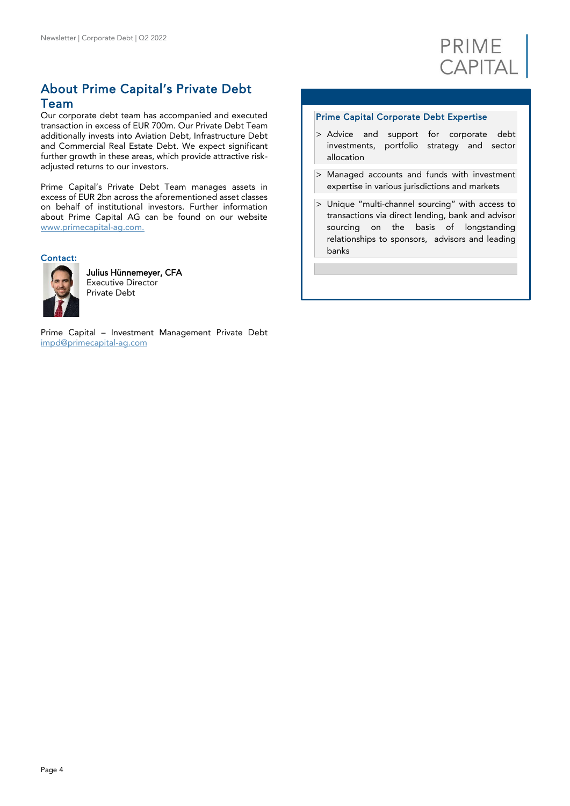

# About Prime Capital's Private Debt Team

Our corporate debt team has accompanied and executed transaction in excess of EUR 700m. Our Private Debt Team additionally invests into Aviation Debt, Infrastructure Debt and Commercial Real Estate Debt. We expect significant further growth in these areas, which provide attractive riskadjusted returns to our investors.

Prime Capital's Private Debt Team manages assets in excess of EUR 2bn across the aforementioned asset classes on behalf of institutional investors. Further information about Prime Capital AG can be found on our website [www.primecapital-ag.com.](http://www.primecapital-ag.com./)

#### Contact:



Julius Hünnemeyer, CFA Executive Director Private Debt

Prime Capital – Investment Management Private Debt [impd@primecapital-ag.com](mailto:impd@primecapital-ag.com)

#### Prime Capital Corporate Debt Expertise

- > Advice and support for corporate debt investments, portfolio strategy and sector allocation
- > Managed accounts and funds with investment expertise in various jurisdictions and markets
- > Unique "multi-channel sourcing" with access to transactions via direct lending, bank and advisor sourcing on the basis of longstanding relationships to sponsors, advisors and leading banks